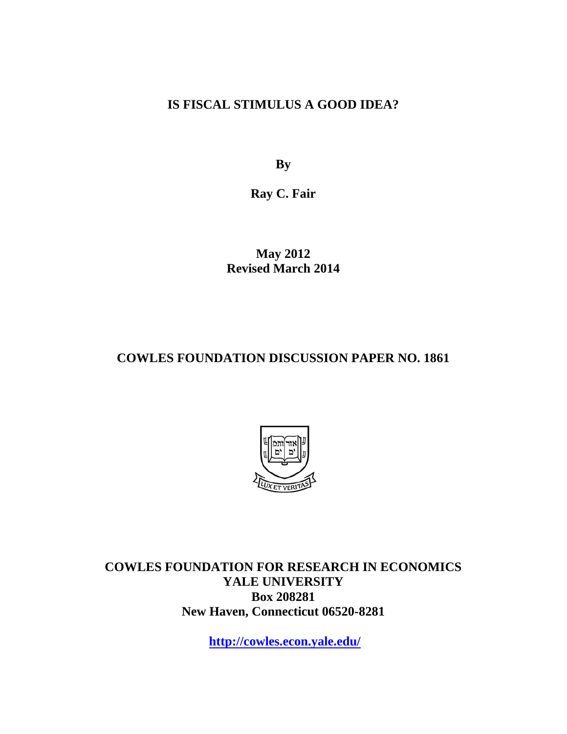## **IS FISCAL STIMULUS A GOOD IDEA?**

**By** 

**Ray C. Fair** 

**May 2012 Revised March 2014** 

#### **COWLES FOUNDATION DISCUSSION PAPER NO. 1861**



**COWLES FOUNDATION FOR RESEARCH IN ECONOMICS YALE UNIVERSITY Box 208281 New Haven, Connecticut 06520-8281** 

**http://cowles.econ.yale.edu/**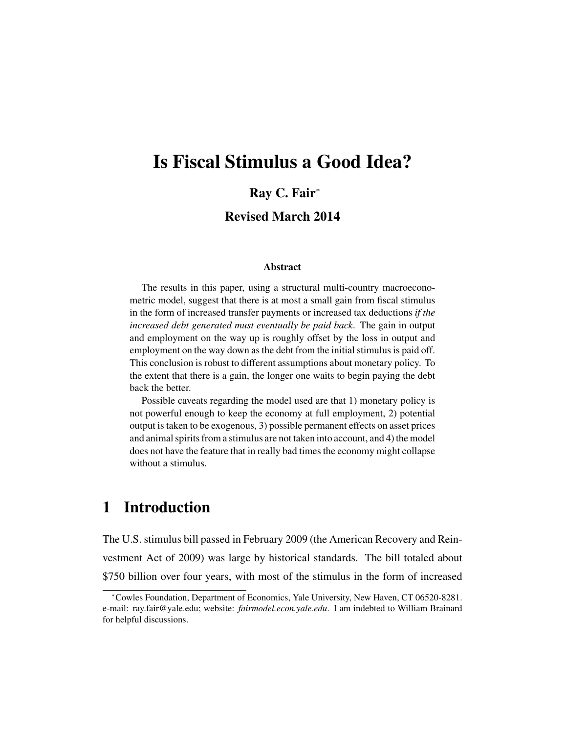# Is Fiscal Stimulus a Good Idea?

Ray C. Fair<sup>∗</sup>

#### Revised March 2014

#### Abstract

The results in this paper, using a structural multi-country macroeconometric model, suggest that there is at most a small gain from fiscal stimulus in the form of increased transfer payments or increased tax deductions *if the increased debt generated must eventually be paid back*. The gain in output and employment on the way up is roughly offset by the loss in output and employment on the way down as the debt from the initial stimulus is paid off. This conclusion is robust to different assumptions about monetary policy. To the extent that there is a gain, the longer one waits to begin paying the debt back the better.

Possible caveats regarding the model used are that 1) monetary policy is not powerful enough to keep the economy at full employment, 2) potential output is taken to be exogenous, 3) possible permanent effects on asset prices and animal spirits from a stimulus are not taken into account, and 4) the model does not have the feature that in really bad times the economy might collapse without a stimulus.

# 1 Introduction

The U.S. stimulus bill passed in February 2009 (the American Recovery and Reinvestment Act of 2009) was large by historical standards. The bill totaled about \$750 billion over four years, with most of the stimulus in the form of increased

<sup>∗</sup>Cowles Foundation, Department of Economics, Yale University, New Haven, CT 06520-8281. e-mail: ray.fair@yale.edu; website: *fairmodel.econ.yale.edu*. I am indebted to William Brainard for helpful discussions.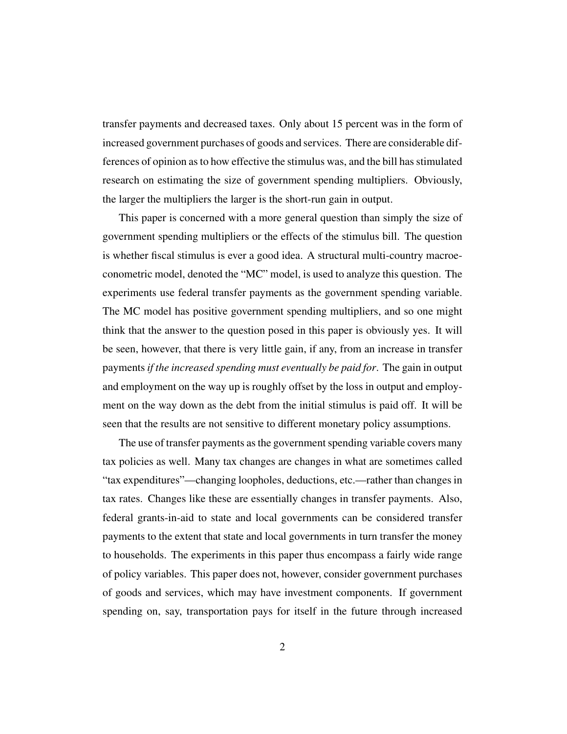transfer payments and decreased taxes. Only about 15 percent was in the form of increased government purchases of goods and services. There are considerable differences of opinion as to how effective the stimulus was, and the bill has stimulated research on estimating the size of government spending multipliers. Obviously, the larger the multipliers the larger is the short-run gain in output.

This paper is concerned with a more general question than simply the size of government spending multipliers or the effects of the stimulus bill. The question is whether fiscal stimulus is ever a good idea. A structural multi-country macroeconometric model, denoted the "MC" model, is used to analyze this question. The experiments use federal transfer payments as the government spending variable. The MC model has positive government spending multipliers, and so one might think that the answer to the question posed in this paper is obviously yes. It will be seen, however, that there is very little gain, if any, from an increase in transfer payments *if the increased spending must eventually be paid for*. The gain in output and employment on the way up is roughly offset by the loss in output and employment on the way down as the debt from the initial stimulus is paid off. It will be seen that the results are not sensitive to different monetary policy assumptions.

The use of transfer payments as the government spending variable covers many tax policies as well. Many tax changes are changes in what are sometimes called "tax expenditures"—changing loopholes, deductions, etc.—rather than changes in tax rates. Changes like these are essentially changes in transfer payments. Also, federal grants-in-aid to state and local governments can be considered transfer payments to the extent that state and local governments in turn transfer the money to households. The experiments in this paper thus encompass a fairly wide range of policy variables. This paper does not, however, consider government purchases of goods and services, which may have investment components. If government spending on, say, transportation pays for itself in the future through increased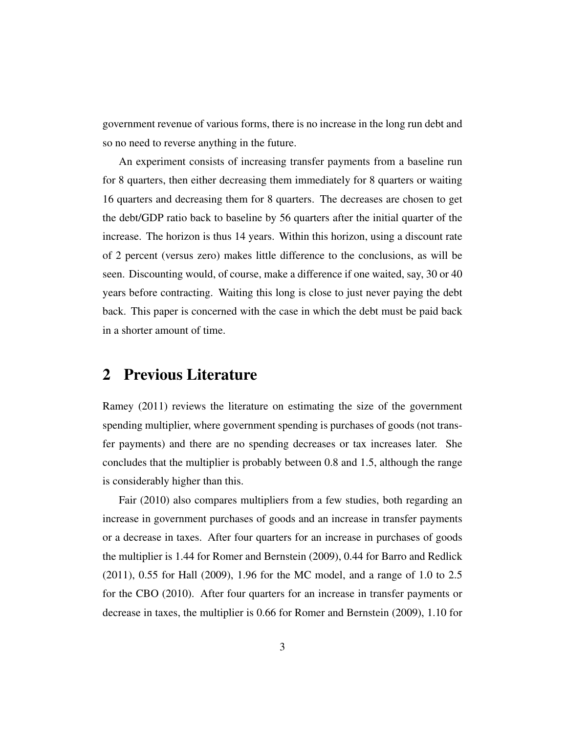government revenue of various forms, there is no increase in the long run debt and so no need to reverse anything in the future.

An experiment consists of increasing transfer payments from a baseline run for 8 quarters, then either decreasing them immediately for 8 quarters or waiting 16 quarters and decreasing them for 8 quarters. The decreases are chosen to get the debt/GDP ratio back to baseline by 56 quarters after the initial quarter of the increase. The horizon is thus 14 years. Within this horizon, using a discount rate of 2 percent (versus zero) makes little difference to the conclusions, as will be seen. Discounting would, of course, make a difference if one waited, say, 30 or 40 years before contracting. Waiting this long is close to just never paying the debt back. This paper is concerned with the case in which the debt must be paid back in a shorter amount of time.

#### 2 Previous Literature

Ramey (2011) reviews the literature on estimating the size of the government spending multiplier, where government spending is purchases of goods (not transfer payments) and there are no spending decreases or tax increases later. She concludes that the multiplier is probably between 0.8 and 1.5, although the range is considerably higher than this.

Fair (2010) also compares multipliers from a few studies, both regarding an increase in government purchases of goods and an increase in transfer payments or a decrease in taxes. After four quarters for an increase in purchases of goods the multiplier is 1.44 for Romer and Bernstein (2009), 0.44 for Barro and Redlick (2011), 0.55 for Hall (2009), 1.96 for the MC model, and a range of 1.0 to 2.5 for the CBO (2010). After four quarters for an increase in transfer payments or decrease in taxes, the multiplier is 0.66 for Romer and Bernstein (2009), 1.10 for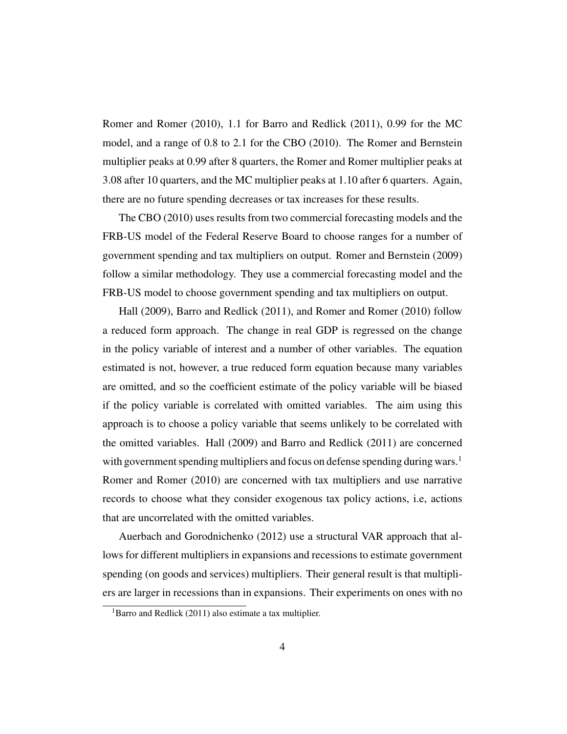Romer and Romer (2010), 1.1 for Barro and Redlick (2011), 0.99 for the MC model, and a range of 0.8 to 2.1 for the CBO (2010). The Romer and Bernstein multiplier peaks at 0.99 after 8 quarters, the Romer and Romer multiplier peaks at 3.08 after 10 quarters, and the MC multiplier peaks at 1.10 after 6 quarters. Again, there are no future spending decreases or tax increases for these results.

The CBO (2010) uses results from two commercial forecasting models and the FRB-US model of the Federal Reserve Board to choose ranges for a number of government spending and tax multipliers on output. Romer and Bernstein (2009) follow a similar methodology. They use a commercial forecasting model and the FRB-US model to choose government spending and tax multipliers on output.

Hall (2009), Barro and Redlick (2011), and Romer and Romer (2010) follow a reduced form approach. The change in real GDP is regressed on the change in the policy variable of interest and a number of other variables. The equation estimated is not, however, a true reduced form equation because many variables are omitted, and so the coefficient estimate of the policy variable will be biased if the policy variable is correlated with omitted variables. The aim using this approach is to choose a policy variable that seems unlikely to be correlated with the omitted variables. Hall (2009) and Barro and Redlick (2011) are concerned with government spending multipliers and focus on defense spending during wars.<sup>1</sup> Romer and Romer (2010) are concerned with tax multipliers and use narrative records to choose what they consider exogenous tax policy actions, i.e, actions that are uncorrelated with the omitted variables.

Auerbach and Gorodnichenko (2012) use a structural VAR approach that allows for different multipliers in expansions and recessions to estimate government spending (on goods and services) multipliers. Their general result is that multipliers are larger in recessions than in expansions. Their experiments on ones with no

<sup>&</sup>lt;sup>1</sup>Barro and Redlick (2011) also estimate a tax multiplier.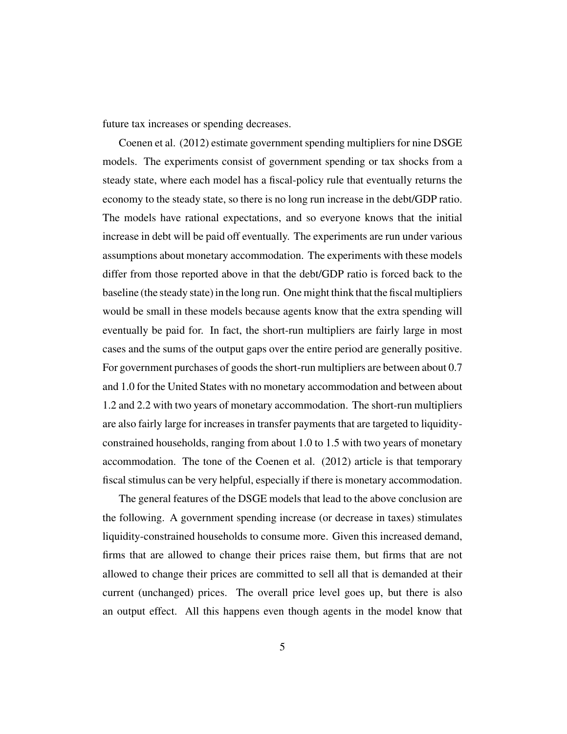future tax increases or spending decreases.

Coenen et al. (2012) estimate government spending multipliers for nine DSGE models. The experiments consist of government spending or tax shocks from a steady state, where each model has a fiscal-policy rule that eventually returns the economy to the steady state, so there is no long run increase in the debt/GDP ratio. The models have rational expectations, and so everyone knows that the initial increase in debt will be paid off eventually. The experiments are run under various assumptions about monetary accommodation. The experiments with these models differ from those reported above in that the debt/GDP ratio is forced back to the baseline (the steady state) in the long run. One might think that the fiscal multipliers would be small in these models because agents know that the extra spending will eventually be paid for. In fact, the short-run multipliers are fairly large in most cases and the sums of the output gaps over the entire period are generally positive. For government purchases of goods the short-run multipliers are between about 0.7 and 1.0 for the United States with no monetary accommodation and between about 1.2 and 2.2 with two years of monetary accommodation. The short-run multipliers are also fairly large for increases in transfer payments that are targeted to liquidityconstrained households, ranging from about 1.0 to 1.5 with two years of monetary accommodation. The tone of the Coenen et al. (2012) article is that temporary fiscal stimulus can be very helpful, especially if there is monetary accommodation.

The general features of the DSGE models that lead to the above conclusion are the following. A government spending increase (or decrease in taxes) stimulates liquidity-constrained households to consume more. Given this increased demand, firms that are allowed to change their prices raise them, but firms that are not allowed to change their prices are committed to sell all that is demanded at their current (unchanged) prices. The overall price level goes up, but there is also an output effect. All this happens even though agents in the model know that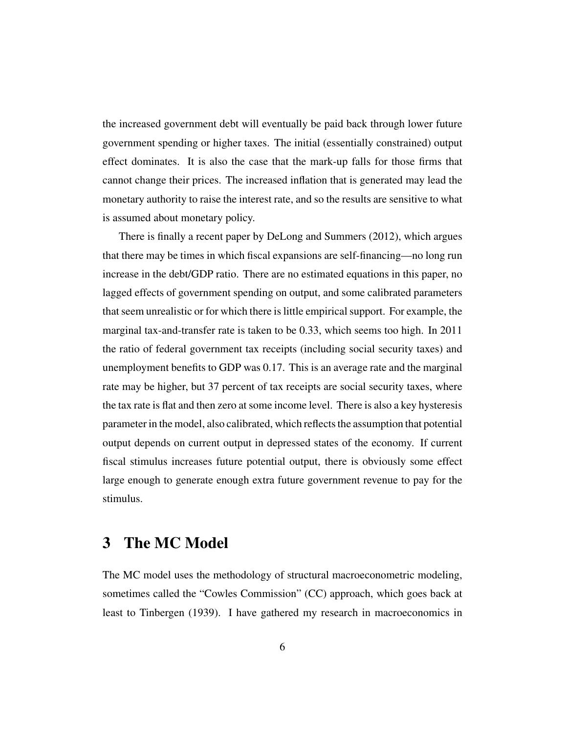the increased government debt will eventually be paid back through lower future government spending or higher taxes. The initial (essentially constrained) output effect dominates. It is also the case that the mark-up falls for those firms that cannot change their prices. The increased inflation that is generated may lead the monetary authority to raise the interest rate, and so the results are sensitive to what is assumed about monetary policy.

There is finally a recent paper by DeLong and Summers (2012), which argues that there may be times in which fiscal expansions are self-financing—no long run increase in the debt/GDP ratio. There are no estimated equations in this paper, no lagged effects of government spending on output, and some calibrated parameters that seem unrealistic or for which there is little empirical support. For example, the marginal tax-and-transfer rate is taken to be 0.33, which seems too high. In 2011 the ratio of federal government tax receipts (including social security taxes) and unemployment benefits to GDP was 0.17. This is an average rate and the marginal rate may be higher, but 37 percent of tax receipts are social security taxes, where the tax rate is flat and then zero at some income level. There is also a key hysteresis parameter in the model, also calibrated, which reflects the assumption that potential output depends on current output in depressed states of the economy. If current fiscal stimulus increases future potential output, there is obviously some effect large enough to generate enough extra future government revenue to pay for the stimulus.

# 3 The MC Model

The MC model uses the methodology of structural macroeconometric modeling, sometimes called the "Cowles Commission" (CC) approach, which goes back at least to Tinbergen (1939). I have gathered my research in macroeconomics in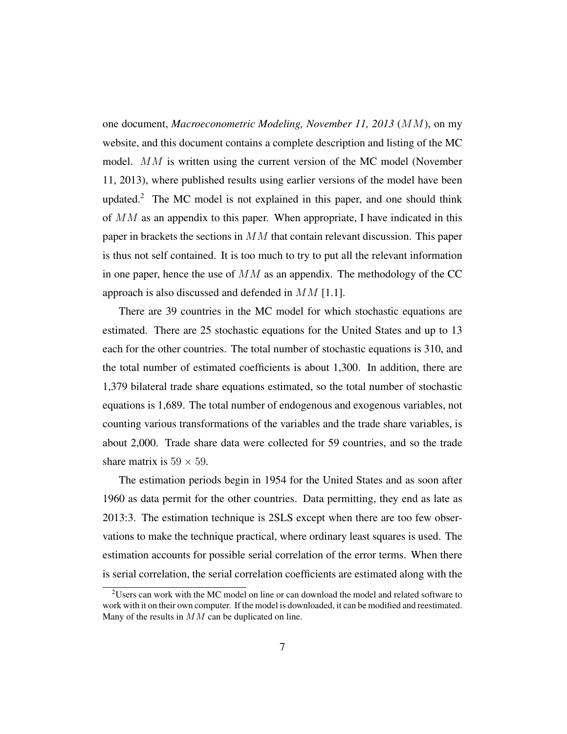one document, *Macroeconometric Modeling, November 11, 2013* (MM), on my website, and this document contains a complete description and listing of the MC model. MM is written using the current version of the MC model (November 11, 2013), where published results using earlier versions of the model have been updated.<sup>2</sup> The MC model is not explained in this paper, and one should think of  $MM$  as an appendix to this paper. When appropriate, I have indicated in this paper in brackets the sections in  $MM$  that contain relevant discussion. This paper is thus not self contained. It is too much to try to put all the relevant information in one paper, hence the use of  $MM$  as an appendix. The methodology of the CC approach is also discussed and defended in MM [1.1].

There are 39 countries in the MC model for which stochastic equations are estimated. There are 25 stochastic equations for the United States and up to 13 each for the other countries. The total number of stochastic equations is 310, and the total number of estimated coefficients is about 1,300. In addition, there are 1,379 bilateral trade share equations estimated, so the total number of stochastic equations is 1,689. The total number of endogenous and exogenous variables, not counting various transformations of the variables and the trade share variables, is about 2,000. Trade share data were collected for 59 countries, and so the trade share matrix is  $59 \times 59$ .

The estimation periods begin in 1954 for the United States and as soon after 1960 as data permit for the other countries. Data permitting, they end as late as 2013:3. The estimation technique is 2SLS except when there are too few observations to make the technique practical, where ordinary least squares is used. The estimation accounts for possible serial correlation of the error terms. When there is serial correlation, the serial correlation coefficients are estimated along with the

<sup>&</sup>lt;sup>2</sup>Users can work with the MC model on line or can download the model and related software to work with it on their own computer. If the model is downloaded, it can be modified and reestimated. Many of the results in  $MM$  can be duplicated on line.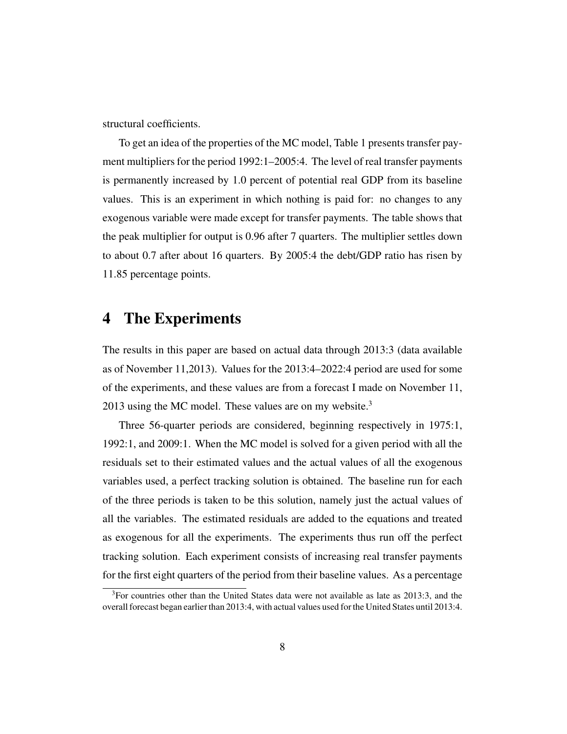structural coefficients.

To get an idea of the properties of the MC model, Table 1 presents transfer payment multipliers for the period 1992:1–2005:4. The level of real transfer payments is permanently increased by 1.0 percent of potential real GDP from its baseline values. This is an experiment in which nothing is paid for: no changes to any exogenous variable were made except for transfer payments. The table shows that the peak multiplier for output is 0.96 after 7 quarters. The multiplier settles down to about 0.7 after about 16 quarters. By 2005:4 the debt/GDP ratio has risen by 11.85 percentage points.

#### 4 The Experiments

The results in this paper are based on actual data through 2013:3 (data available as of November 11,2013). Values for the 2013:4–2022:4 period are used for some of the experiments, and these values are from a forecast I made on November 11, 2013 using the MC model. These values are on my website.<sup>3</sup>

Three 56-quarter periods are considered, beginning respectively in 1975:1, 1992:1, and 2009:1. When the MC model is solved for a given period with all the residuals set to their estimated values and the actual values of all the exogenous variables used, a perfect tracking solution is obtained. The baseline run for each of the three periods is taken to be this solution, namely just the actual values of all the variables. The estimated residuals are added to the equations and treated as exogenous for all the experiments. The experiments thus run off the perfect tracking solution. Each experiment consists of increasing real transfer payments for the first eight quarters of the period from their baseline values. As a percentage

<sup>&</sup>lt;sup>3</sup>For countries other than the United States data were not available as late as 2013:3, and the overall forecast began earlier than 2013:4, with actual values used for the United States until 2013:4.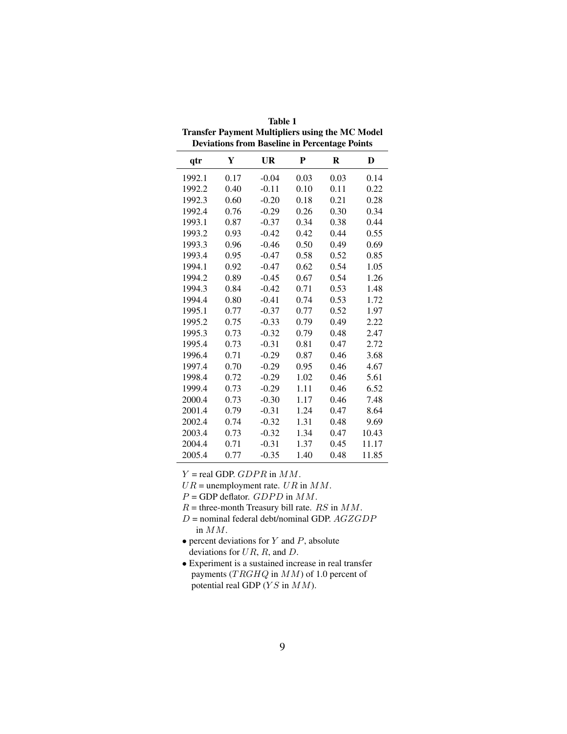| qtr    | Y    | <b>UR</b> | ${\bf P}$ | R    | D     |
|--------|------|-----------|-----------|------|-------|
| 1992.1 | 0.17 | $-0.04$   | 0.03      | 0.03 | 0.14  |
| 1992.2 | 0.40 | $-0.11$   | 0.10      | 0.11 | 0.22  |
| 1992.3 | 0.60 | $-0.20$   | 0.18      | 0.21 | 0.28  |
| 1992.4 | 0.76 | $-0.29$   | 0.26      | 0.30 | 0.34  |
| 1993.1 | 0.87 | $-0.37$   | 0.34      | 0.38 | 0.44  |
| 1993.2 | 0.93 | $-0.42$   | 0.42      | 0.44 | 0.55  |
| 1993.3 | 0.96 | $-0.46$   | 0.50      | 0.49 | 0.69  |
| 1993.4 | 0.95 | $-0.47$   | 0.58      | 0.52 | 0.85  |
| 1994.1 | 0.92 | $-0.47$   | 0.62      | 0.54 | 1.05  |
| 1994.2 | 0.89 | $-0.45$   | 0.67      | 0.54 | 1.26  |
| 1994.3 | 0.84 | $-0.42$   | 0.71      | 0.53 | 1.48  |
| 1994.4 | 0.80 | $-0.41$   | 0.74      | 0.53 | 1.72  |
| 1995.1 | 0.77 | $-0.37$   | 0.77      | 0.52 | 1.97  |
| 1995.2 | 0.75 | $-0.33$   | 0.79      | 0.49 | 2.22  |
| 1995.3 | 0.73 | $-0.32$   | 0.79      | 0.48 | 2.47  |
| 1995.4 | 0.73 | $-0.31$   | 0.81      | 0.47 | 2.72  |
| 1996.4 | 0.71 | $-0.29$   | 0.87      | 0.46 | 3.68  |
| 1997.4 | 0.70 | $-0.29$   | 0.95      | 0.46 | 4.67  |
| 1998.4 | 0.72 | $-0.29$   | 1.02      | 0.46 | 5.61  |
| 1999.4 | 0.73 | $-0.29$   | 1.11      | 0.46 | 6.52  |
| 2000.4 | 0.73 | $-0.30$   | 1.17      | 0.46 | 7.48  |
| 2001.4 | 0.79 | $-0.31$   | 1.24      | 0.47 | 8.64  |
| 2002.4 | 0.74 | $-0.32$   | 1.31      | 0.48 | 9.69  |
| 2003.4 | 0.73 | $-0.32$   | 1.34      | 0.47 | 10.43 |
| 2004.4 | 0.71 | $-0.31$   | 1.37      | 0.45 | 11.17 |
| 2005.4 | 0.77 | $-0.35$   | 1.40      | 0.48 | 11.85 |

Table 1 Transfer Payment Multipliers using the MC Model Deviations from Baseline in Percentage Points

 $Y$  = real GDP.  $GDPR$  in  $MM$ .

 $UR =$  unemployment rate.  $UR$  in  $MM$ .

 $P = GDP$  deflator.  $GDPD$  in  $MM$ .

- $R =$  three-month Treasury bill rate.  $RS$  in  $MM$ .
- $D =$  nominal federal debt/nominal GDP.  $AGZGDP$ in  $\mathcal{M} \mathcal{M}.$
- $\bullet$  percent deviations for Y and P, absolute deviations for UR, R, and D.
- Experiment is a sustained increase in real transfer payments ( $TRGHQ$  in  $MM$ ) of 1.0 percent of potential real GDP ( $YS$  in  $MM$ ).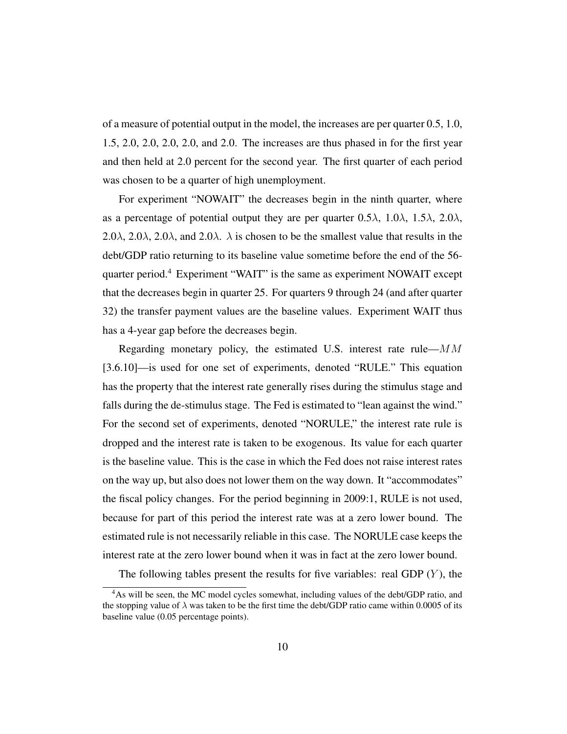of a measure of potential output in the model, the increases are per quarter 0.5, 1.0, 1.5, 2.0, 2.0, 2.0, 2.0, and 2.0. The increases are thus phased in for the first year and then held at 2.0 percent for the second year. The first quarter of each period was chosen to be a quarter of high unemployment.

For experiment "NOWAIT" the decreases begin in the ninth quarter, where as a percentage of potential output they are per quarter  $0.5\lambda$ ,  $1.0\lambda$ ,  $1.5\lambda$ ,  $2.0\lambda$ , 2.0λ, 2.0λ, 2.0λ, and 2.0λ.  $\lambda$  is chosen to be the smallest value that results in the debt/GDP ratio returning to its baseline value sometime before the end of the 56 quarter period.<sup>4</sup> Experiment "WAIT" is the same as experiment NOWAIT except that the decreases begin in quarter 25. For quarters 9 through 24 (and after quarter 32) the transfer payment values are the baseline values. Experiment WAIT thus has a 4-year gap before the decreases begin.

Regarding monetary policy, the estimated U.S. interest rate rule— $MM$ [3.6.10]—is used for one set of experiments, denoted "RULE." This equation has the property that the interest rate generally rises during the stimulus stage and falls during the de-stimulus stage. The Fed is estimated to "lean against the wind." For the second set of experiments, denoted "NORULE," the interest rate rule is dropped and the interest rate is taken to be exogenous. Its value for each quarter is the baseline value. This is the case in which the Fed does not raise interest rates on the way up, but also does not lower them on the way down. It "accommodates" the fiscal policy changes. For the period beginning in 2009:1, RULE is not used, because for part of this period the interest rate was at a zero lower bound. The estimated rule is not necessarily reliable in this case. The NORULE case keeps the interest rate at the zero lower bound when it was in fact at the zero lower bound.

The following tables present the results for five variables: real GDP  $(Y)$ , the

<sup>&</sup>lt;sup>4</sup>As will be seen, the MC model cycles somewhat, including values of the debt/GDP ratio, and the stopping value of  $\lambda$  was taken to be the first time the debt/GDP ratio came within 0.0005 of its baseline value (0.05 percentage points).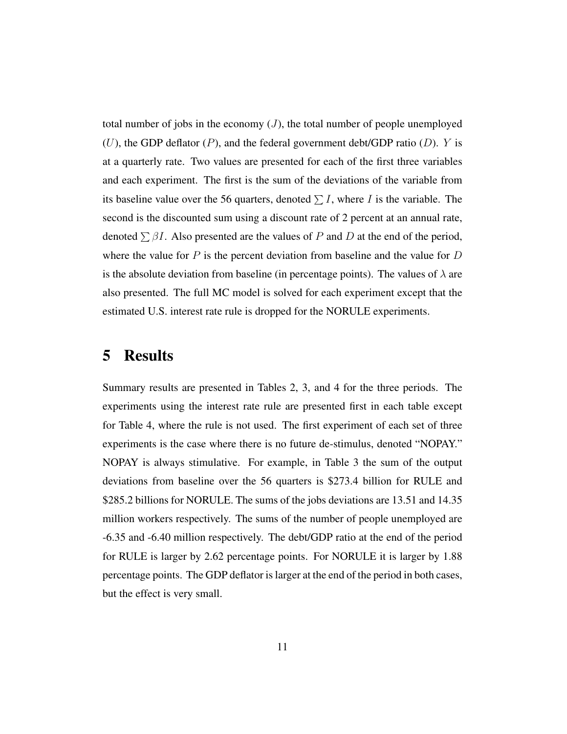total number of jobs in the economy  $(J)$ , the total number of people unemployed  $(U)$ , the GDP deflator  $(P)$ , and the federal government debt/GDP ratio  $(D)$ . Y is at a quarterly rate. Two values are presented for each of the first three variables and each experiment. The first is the sum of the deviations of the variable from its baseline value over the 56 quarters, denoted  $\sum I$ , where I is the variable. The second is the discounted sum using a discount rate of 2 percent at an annual rate, denoted  $\sum \beta I$ . Also presented are the values of P and D at the end of the period, where the value for  $P$  is the percent deviation from baseline and the value for  $D$ is the absolute deviation from baseline (in percentage points). The values of  $\lambda$  are also presented. The full MC model is solved for each experiment except that the estimated U.S. interest rate rule is dropped for the NORULE experiments.

# 5 Results

Summary results are presented in Tables 2, 3, and 4 for the three periods. The experiments using the interest rate rule are presented first in each table except for Table 4, where the rule is not used. The first experiment of each set of three experiments is the case where there is no future de-stimulus, denoted "NOPAY." NOPAY is always stimulative. For example, in Table 3 the sum of the output deviations from baseline over the 56 quarters is \$273.4 billion for RULE and \$285.2 billions for NORULE. The sums of the jobs deviations are 13.51 and 14.35 million workers respectively. The sums of the number of people unemployed are -6.35 and -6.40 million respectively. The debt/GDP ratio at the end of the period for RULE is larger by 2.62 percentage points. For NORULE it is larger by 1.88 percentage points. The GDP deflator is larger at the end of the period in both cases, but the effect is very small.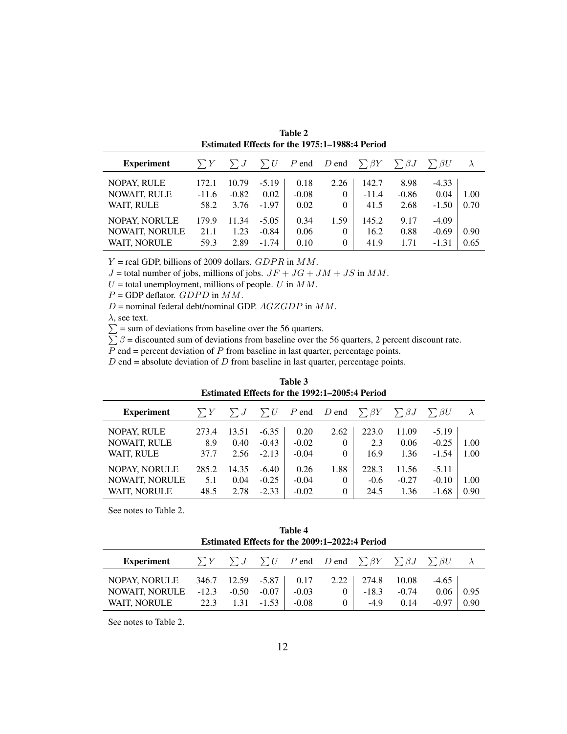Table 2 Estimated Effects for the 1975:1–1988:4 Period

| <b>Experiment</b>     | $\sum Y$ |         | $\sum U$ |         | P end D end | $\sum \beta Y$ | $\beta J$ | $\sum \beta U$ |      |
|-----------------------|----------|---------|----------|---------|-------------|----------------|-----------|----------------|------|
| <b>NOPAY, RULE</b>    | 172.1    | 10.79   | $-5.19$  | 0.18    | 2.26        | 142.7          | 8.98      | $-4.33$        |      |
| <b>NOWAIT, RULE</b>   | $-11.6$  | $-0.82$ | 0.02     | $-0.08$ | $\Omega$    | $-11.4$        | $-0.86$   | 0.04           | 1.00 |
| WAIT, RULE            | 58.2     | 3.76    | $-1.97$  | 0.02    | $\Omega$    | 41.5           | 2.68      | $-1.50$        | 0.70 |
| <b>NOPAY, NORULE</b>  | 179.9    | 11.34   | $-5.05$  | 0.34    | 1.59        | 145.2          | 9.17      | $-4.09$        |      |
| <b>NOWAIT, NORULE</b> | 21.1     | 1.23    | $-0.84$  | 0.06    | $\Omega$    | 16.2           | 0.88      | $-0.69$        | 0.90 |
| <b>WAIT, NORULE</b>   | 59.3     | 2.89    | $-1.74$  | 0.10    | $\Omega$    | 41.9           | 1.71      | $-1.31$        | 0.65 |

 $Y$  = real GDP, billions of 2009 dollars. GDPR in MM.

 $J =$  total number of jobs, millions of jobs.  $JF + JG + JM + JS$  in MM.

 $U =$  total unemployment, millions of people. U in MM.

 $P = GDP$  deflator.  $GDPD$  in  $MM$ .

 $D =$  nominal federal debt/nominal GDP.  $AGZGDP$  in  $MM$ .

 $\lambda$ , see text.

 $\sum$ = sum of deviations from baseline over the 56 quarters.

 $\sum$  $\beta$  = discounted sum of deviations from baseline over the 56 quarters, 2 percent discount rate.

 $P$  end = percent deviation of  $P$  from baseline in last quarter, percentage points.

 $D$  end = absolute deviation of  $D$  from baseline in last quarter, percentage points.

|                                                                      |                      |                       |                               |                            | <b>ESUMATED EXPECTS FOR THE 1994.1-2005.4 FEMPLE</b> |                         |                          |                               |              |
|----------------------------------------------------------------------|----------------------|-----------------------|-------------------------------|----------------------------|------------------------------------------------------|-------------------------|--------------------------|-------------------------------|--------------|
| <b>Experiment</b>                                                    | $\sum Y$             | $\sum J$              | $\sum U$                      | $P$ end                    | $D$ end                                              | $\sum \beta Y$          | $\sum \beta J$           | $\sum \beta U$                | $\lambda$    |
| NOPAY, RULE<br><b>NOWAIT, RULE</b><br>WAIT, RULE                     | 273.4<br>8.9<br>37.7 | 13.51<br>0.40<br>2.56 | $-6.35$<br>$-0.43$<br>$-2.13$ | 0.20<br>$-0.02$<br>$-0.04$ | 2.62<br>$\Omega$<br>$\Omega$                         | 223.0<br>2.3<br>16.9    | 11.09<br>0.06<br>1.36    | $-5.19$<br>$-0.25$<br>$-1.54$ | 1.00<br>1.00 |
| <b>NOPAY, NORULE</b><br><b>NOWAIT, NORULE</b><br><b>WAIT, NORULE</b> | 285.2<br>5.1<br>48.5 | 14.35<br>0.04<br>2.78 | $-6.40$<br>$-0.25$<br>$-2.33$ | 0.26<br>$-0.04$<br>$-0.02$ | 1.88<br>$\Omega$<br>$\theta$                         | 228.3<br>$-0.6$<br>24.5 | 11.56<br>$-0.27$<br>1.36 | $-5.11$<br>$-0.10$<br>$-1.68$ | 1.00<br>0.90 |

Table 3 Estimated Effects for the 1992:1–2005:4 Period

See notes to Table 2.

Table 4 Estimated Effects for the 2009:1–2022:4 Period

| <b>Experiment</b>                      |  |  |                |                   |      | $\sum Y$ $\sum J$ $\sum U$ P end D end $\sum \beta Y$ $\sum \beta J$ $\sum \beta U$ |  |
|----------------------------------------|--|--|----------------|-------------------|------|-------------------------------------------------------------------------------------|--|
| NOPAY, NORULE 346.7 12.59 -5.87 0.17   |  |  |                | 2.22 274.8 10.08  |      | $-4.65$                                                                             |  |
| NOWAIT, NORULE -12.3 -0.50 -0.07 -0.03 |  |  |                | $0$   -18.3 -0.74 |      | $0.06 \pm 0.95$                                                                     |  |
| WAIT, NORULE 22.3 1.31 -1.53 -0.08     |  |  | 0 <sup>1</sup> | $-4.9$            | 0.14 | $-0.97 \;   \; 0.90$                                                                |  |

See notes to Table 2.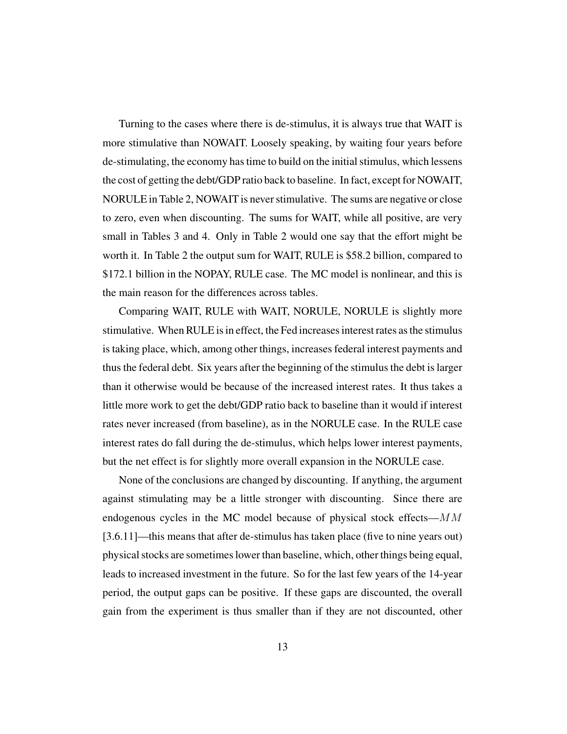Turning to the cases where there is de-stimulus, it is always true that WAIT is more stimulative than NOWAIT. Loosely speaking, by waiting four years before de-stimulating, the economy has time to build on the initial stimulus, which lessens the cost of getting the debt/GDP ratio back to baseline. In fact, except for NOWAIT, NORULE in Table 2, NOWAIT is never stimulative. The sums are negative or close to zero, even when discounting. The sums for WAIT, while all positive, are very small in Tables 3 and 4. Only in Table 2 would one say that the effort might be worth it. In Table 2 the output sum for WAIT, RULE is \$58.2 billion, compared to \$172.1 billion in the NOPAY, RULE case. The MC model is nonlinear, and this is the main reason for the differences across tables.

Comparing WAIT, RULE with WAIT, NORULE, NORULE is slightly more stimulative. When RULE is in effect, the Fed increases interest rates as the stimulus is taking place, which, among other things, increases federal interest payments and thus the federal debt. Six years after the beginning of the stimulus the debt is larger than it otherwise would be because of the increased interest rates. It thus takes a little more work to get the debt/GDP ratio back to baseline than it would if interest rates never increased (from baseline), as in the NORULE case. In the RULE case interest rates do fall during the de-stimulus, which helps lower interest payments, but the net effect is for slightly more overall expansion in the NORULE case.

None of the conclusions are changed by discounting. If anything, the argument against stimulating may be a little stronger with discounting. Since there are endogenous cycles in the MC model because of physical stock effects— $MM$ [3.6.11]—this means that after de-stimulus has taken place (five to nine years out) physical stocks are sometimes lower than baseline, which, other things being equal, leads to increased investment in the future. So for the last few years of the 14-year period, the output gaps can be positive. If these gaps are discounted, the overall gain from the experiment is thus smaller than if they are not discounted, other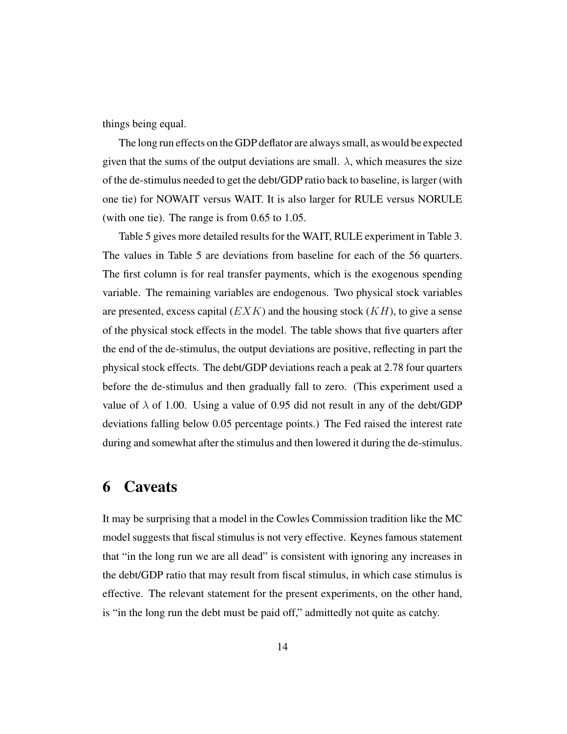things being equal.

The long run effects on the GDP deflator are always small, as would be expected given that the sums of the output deviations are small.  $\lambda$ , which measures the size of the de-stimulus needed to get the debt/GDP ratio back to baseline, is larger (with one tie) for NOWAIT versus WAIT. It is also larger for RULE versus NORULE (with one tie). The range is from 0.65 to 1.05.

Table 5 gives more detailed results for the WAIT, RULE experiment in Table 3. The values in Table 5 are deviations from baseline for each of the 56 quarters. The first column is for real transfer payments, which is the exogenous spending variable. The remaining variables are endogenous. Two physical stock variables are presented, excess capital  $(EXK)$  and the housing stock  $(KH)$ , to give a sense of the physical stock effects in the model. The table shows that five quarters after the end of the de-stimulus, the output deviations are positive, reflecting in part the physical stock effects. The debt/GDP deviations reach a peak at 2.78 four quarters before the de-stimulus and then gradually fall to zero. (This experiment used a value of  $\lambda$  of 1.00. Using a value of 0.95 did not result in any of the debt/GDP deviations falling below 0.05 percentage points.) The Fed raised the interest rate during and somewhat after the stimulus and then lowered it during the de-stimulus.

#### 6 Caveats

It may be surprising that a model in the Cowles Commission tradition like the MC model suggests that fiscal stimulus is not very effective. Keynes famous statement that "in the long run we are all dead" is consistent with ignoring any increases in the debt/GDP ratio that may result from fiscal stimulus, in which case stimulus is effective. The relevant statement for the present experiments, on the other hand, is "in the long run the debt must be paid off," admittedly not quite as catchy.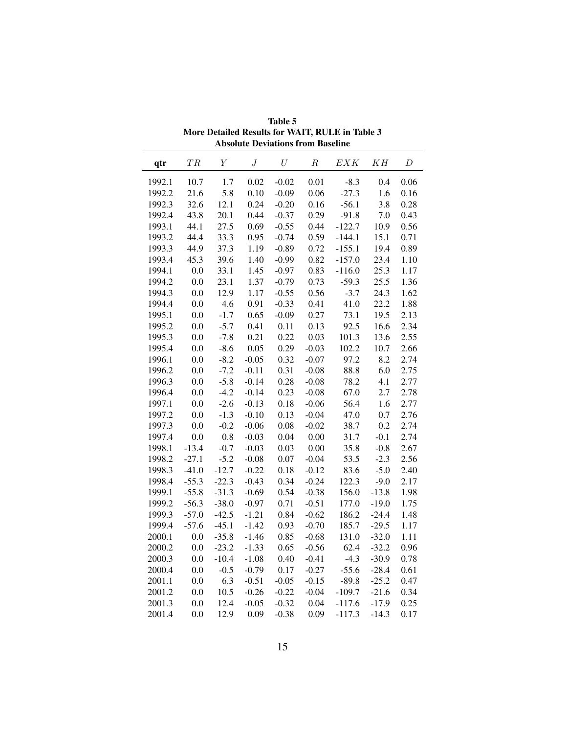| qtr    | ${\cal T} {\cal R}$ | $\boldsymbol{Y}$ | $\cal J$ | $\cal U$ | $\cal R$ | EXK      | $\operatorname{KH}$ | $\boldsymbol{D}$ |
|--------|---------------------|------------------|----------|----------|----------|----------|---------------------|------------------|
| 1992.1 | 10.7                | 1.7              | 0.02     | $-0.02$  | 0.01     | $-8.3$   | 0.4                 | 0.06             |
| 1992.2 | 21.6                | 5.8              | 0.10     | $-0.09$  | 0.06     | $-27.3$  | 1.6                 | 0.16             |
| 1992.3 | 32.6                | 12.1             | 0.24     | $-0.20$  | 0.16     | $-56.1$  | 3.8                 | 0.28             |
| 1992.4 | 43.8                | 20.1             | 0.44     | $-0.37$  | 0.29     | $-91.8$  | 7.0                 | 0.43             |
| 1993.1 | 44.1                | 27.5             | 0.69     | $-0.55$  | 0.44     | $-122.7$ | 10.9                | 0.56             |
| 1993.2 | 44.4                | 33.3             | 0.95     | $-0.74$  | 0.59     | $-144.1$ | 15.1                | 0.71             |
| 1993.3 | 44.9                | 37.3             | 1.19     | $-0.89$  | 0.72     | $-155.1$ | 19.4                | 0.89             |
| 1993.4 | 45.3                | 39.6             | 1.40     | $-0.99$  | 0.82     | $-157.0$ | 23.4                | 1.10             |
| 1994.1 | 0.0                 | 33.1             | 1.45     | $-0.97$  | 0.83     | $-116.0$ | 25.3                | 1.17             |
| 1994.2 | 0.0                 | 23.1             | 1.37     | $-0.79$  | 0.73     | $-59.3$  | 25.5                | 1.36             |
| 1994.3 | 0.0                 | 12.9             | 1.17     | $-0.55$  | 0.56     | $-3.7$   | 24.3                | 1.62             |
| 1994.4 | 0.0                 | 4.6              | 0.91     | $-0.33$  | 0.41     | 41.0     | 22.2                | 1.88             |
| 1995.1 | 0.0                 | $-1.7$           | 0.65     | $-0.09$  | 0.27     | 73.1     | 19.5                | 2.13             |
| 1995.2 | 0.0                 | $-5.7$           | 0.41     | 0.11     | 0.13     | 92.5     | 16.6                | 2.34             |
| 1995.3 | 0.0                 | $-7.8$           | 0.21     | 0.22     | 0.03     | 101.3    | 13.6                | 2.55             |
| 1995.4 | 0.0                 | $-8.6$           | 0.05     | 0.29     | $-0.03$  | 102.2    | 10.7                | 2.66             |
| 1996.1 | 0.0                 | $-8.2$           | $-0.05$  | 0.32     | $-0.07$  | 97.2     | 8.2                 | 2.74             |
| 1996.2 | 0.0                 | $-7.2$           | $-0.11$  | 0.31     | $-0.08$  | 88.8     | 6.0                 | 2.75             |
| 1996.3 | 0.0                 | $-5.8$           | $-0.14$  | 0.28     | $-0.08$  | 78.2     | 4.1                 | 2.77             |
| 1996.4 | 0.0                 | $-4.2$           | $-0.14$  | 0.23     | $-0.08$  | 67.0     | 2.7                 | 2.78             |
| 1997.1 | 0.0                 | $-2.6$           | $-0.13$  | 0.18     | $-0.06$  | 56.4     | 1.6                 | 2.77             |
| 1997.2 | 0.0                 | $-1.3$           | $-0.10$  | 0.13     | $-0.04$  | 47.0     | 0.7                 | 2.76             |
| 1997.3 | 0.0                 | $-0.2$           | $-0.06$  | 0.08     | $-0.02$  | 38.7     | 0.2                 | 2.74             |
| 1997.4 | 0.0                 | 0.8              | $-0.03$  | 0.04     | 0.00     | 31.7     | $-0.1$              | 2.74             |
| 1998.1 | $-13.4$             | $-0.7$           | $-0.03$  | 0.03     | 0.00     | 35.8     | $-0.8$              | 2.67             |
| 1998.2 | $-27.1$             | $-5.2$           | $-0.08$  | $0.07\,$ | $-0.04$  | 53.5     | $-2.3$              | 2.56             |
| 1998.3 | $-41.0$             | $-12.7$          | $-0.22$  | 0.18     | $-0.12$  | 83.6     | $-5.0$              | 2.40             |
| 1998.4 | $-55.3$             | $-22.3$          | $-0.43$  | 0.34     | $-0.24$  | 122.3    | $-9.0$              | 2.17             |
| 1999.1 | $-55.8$             | $-31.3$          | $-0.69$  | 0.54     | $-0.38$  | 156.0    | $-13.8$             | 1.98             |
| 1999.2 | $-56.3$             | $-38.0$          | $-0.97$  | 0.71     | $-0.51$  | 177.0    | $-19.0$             | 1.75             |
| 1999.3 | $-57.0$             | $-42.5$          | $-1.21$  | 0.84     | $-0.62$  | 186.2    | $-24.4$             | 1.48             |
| 1999.4 | $-57.6$             | $-45.1$          | $-1.42$  | 0.93     | $-0.70$  | 185.7    | $-29.5$             | 1.17             |
| 2000.1 | 0.0                 | $-35.8$          | $-1.46$  | 0.85     | $-0.68$  | 131.0    | $-32.0$             | 1.11             |
| 2000.2 | 0.0                 | $-23.2$          | $-1.33$  | 0.65     | $-0.56$  | 62.4     | $-32.2$             | 0.96             |
| 2000.3 | 0.0                 | $-10.4$          | $-1.08$  | 0.40     | $-0.41$  | $-4.3$   | $-30.9$             | 0.78             |
| 2000.4 | 0.0                 | $-0.5$           | $-0.79$  | 0.17     | $-0.27$  | $-55.6$  | $-28.4$             | 0.61             |
| 2001.1 | 0.0                 | 6.3              | $-0.51$  | $-0.05$  | $-0.15$  | $-89.8$  | $-25.2$             | 0.47             |
| 2001.2 | 0.0                 | 10.5             | $-0.26$  | $-0.22$  | $-0.04$  | $-109.7$ | $-21.6$             | 0.34             |
| 2001.3 | 0.0                 | 12.4             | $-0.05$  | $-0.32$  | 0.04     | $-117.6$ | $-17.9$             | 0.25             |
| 2001.4 | 0.0                 | 12.9             | 0.09     | $-0.38$  | 0.09     | $-117.3$ | $-14.3$             | 0.17             |

Table 5 More Detailed Results for WAIT, RULE in Table 3 Absolute Deviations from Baseline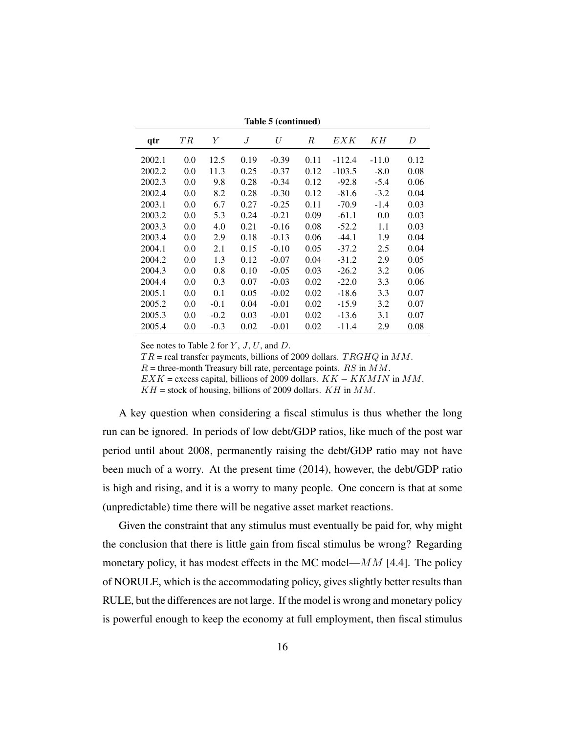| ТR  | Υ      | J    | U       | R    | EXK                          | ΚН      | D    |  |  |  |
|-----|--------|------|---------|------|------------------------------|---------|------|--|--|--|
| 0.0 | 12.5   | 0.19 | $-0.39$ | 0.11 | $-112.4$                     | $-11.0$ | 0.12 |  |  |  |
| 0.0 | 11.3   | 0.25 | $-0.37$ | 0.12 | $-103.5$                     | $-8.0$  | 0.08 |  |  |  |
| 0.0 | 9.8    | 0.28 | $-0.34$ | 0.12 | $-92.8$                      | $-5.4$  | 0.06 |  |  |  |
| 0.0 | 8.2    | 0.28 | $-0.30$ | 0.12 | $-81.6$                      | $-3.2$  | 0.04 |  |  |  |
| 0.0 | 6.7    | 0.27 | $-0.25$ | 0.11 | $-70.9$                      | $-1.4$  | 0.03 |  |  |  |
| 0.0 | 5.3    | 0.24 | $-0.21$ | 0.09 | $-61.1$                      | 0.0     | 0.03 |  |  |  |
| 0.0 | 4.0    | 0.21 | $-0.16$ | 0.08 | $-52.2$                      | 1.1     | 0.03 |  |  |  |
| 0.0 | 2.9    | 0.18 | $-0.13$ | 0.06 | $-44.1$                      | 1.9     | 0.04 |  |  |  |
| 0.0 | 2.1    | 0.15 | $-0.10$ | 0.05 | $-37.2$                      | 2.5     | 0.04 |  |  |  |
| 0.0 | 1.3    | 0.12 | $-0.07$ | 0.04 | $-31.2$                      | 2.9     | 0.05 |  |  |  |
| 0.0 | 0.8    | 0.10 | $-0.05$ | 0.03 | $-26.2$                      | 3.2     | 0.06 |  |  |  |
| 0.0 | 0.3    | 0.07 | $-0.03$ | 0.02 | $-22.0$                      | 3.3     | 0.06 |  |  |  |
| 0.0 | 0.1    | 0.05 | $-0.02$ | 0.02 | $-18.6$                      | 3.3     | 0.07 |  |  |  |
| 0.0 | $-0.1$ | 0.04 | $-0.01$ | 0.02 | $-15.9$                      | 3.2     | 0.07 |  |  |  |
| 0.0 | $-0.2$ | 0.03 | $-0.01$ | 0.02 | $-13.6$                      | 3.1     | 0.07 |  |  |  |
| 0.0 | $-0.3$ | 0.02 | $-0.01$ | 0.02 | $-11.4$                      | 2.9     | 0.08 |  |  |  |
|     |        |      |         |      | ravit $\sigma$ (commutation) |         |      |  |  |  |

Table 5 (continued)

See notes to Table 2 for  $Y$ ,  $J$ ,  $U$ , and  $D$ .

 $TR$  = real transfer payments, billions of 2009 dollars.  $TRGHQ$  in  $MM$ .

 $R =$  three-month Treasury bill rate, percentage points.  $RS$  in  $MM$ .

 $EXK =$  excess capital, billions of 2009 dollars.  $KK - KKMIN$  in MM.

 $KH =$  stock of housing, billions of 2009 dollars.  $KH$  in  $MM$ .

A key question when considering a fiscal stimulus is thus whether the long run can be ignored. In periods of low debt/GDP ratios, like much of the post war period until about 2008, permanently raising the debt/GDP ratio may not have been much of a worry. At the present time (2014), however, the debt/GDP ratio is high and rising, and it is a worry to many people. One concern is that at some (unpredictable) time there will be negative asset market reactions.

Given the constraint that any stimulus must eventually be paid for, why might the conclusion that there is little gain from fiscal stimulus be wrong? Regarding monetary policy, it has modest effects in the MC model— $MM$  [4.4]. The policy of NORULE, which is the accommodating policy, gives slightly better results than RULE, but the differences are not large. If the model is wrong and monetary policy is powerful enough to keep the economy at full employment, then fiscal stimulus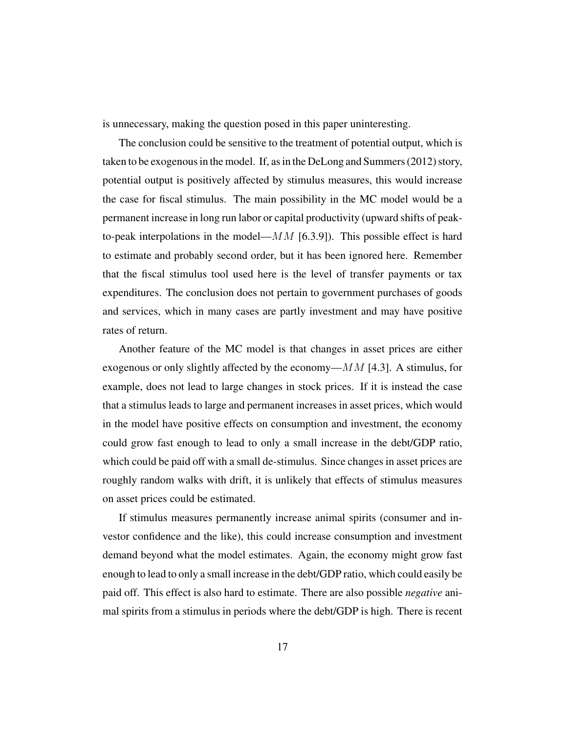is unnecessary, making the question posed in this paper uninteresting.

The conclusion could be sensitive to the treatment of potential output, which is taken to be exogenous in the model. If, as in the DeLong and Summers (2012) story, potential output is positively affected by stimulus measures, this would increase the case for fiscal stimulus. The main possibility in the MC model would be a permanent increase in long run labor or capital productivity (upward shifts of peakto-peak interpolations in the model— $MM$  [6.3.9]). This possible effect is hard to estimate and probably second order, but it has been ignored here. Remember that the fiscal stimulus tool used here is the level of transfer payments or tax expenditures. The conclusion does not pertain to government purchases of goods and services, which in many cases are partly investment and may have positive rates of return.

Another feature of the MC model is that changes in asset prices are either exogenous or only slightly affected by the economy— $MM$  [4.3]. A stimulus, for example, does not lead to large changes in stock prices. If it is instead the case that a stimulus leads to large and permanent increases in asset prices, which would in the model have positive effects on consumption and investment, the economy could grow fast enough to lead to only a small increase in the debt/GDP ratio, which could be paid off with a small de-stimulus. Since changes in asset prices are roughly random walks with drift, it is unlikely that effects of stimulus measures on asset prices could be estimated.

If stimulus measures permanently increase animal spirits (consumer and investor confidence and the like), this could increase consumption and investment demand beyond what the model estimates. Again, the economy might grow fast enough to lead to only a small increase in the debt/GDP ratio, which could easily be paid off. This effect is also hard to estimate. There are also possible *negative* animal spirits from a stimulus in periods where the debt/GDP is high. There is recent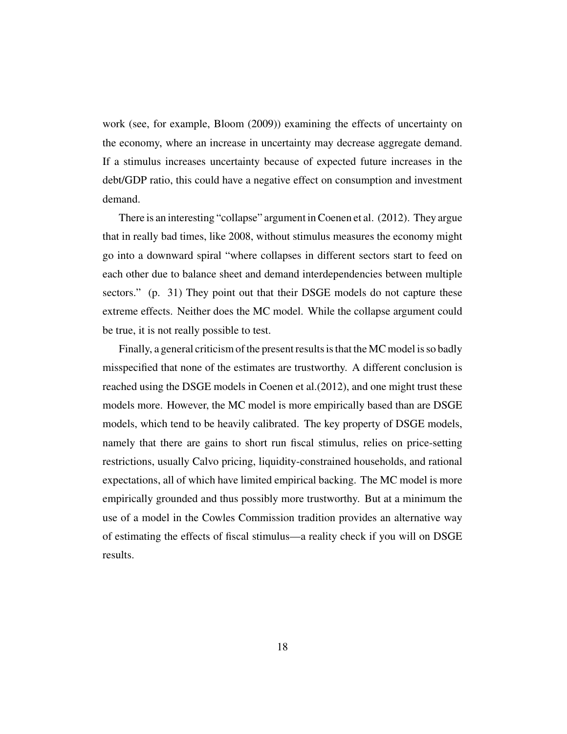work (see, for example, Bloom (2009)) examining the effects of uncertainty on the economy, where an increase in uncertainty may decrease aggregate demand. If a stimulus increases uncertainty because of expected future increases in the debt/GDP ratio, this could have a negative effect on consumption and investment demand.

There is an interesting "collapse" argument in Coenen et al. (2012). They argue that in really bad times, like 2008, without stimulus measures the economy might go into a downward spiral "where collapses in different sectors start to feed on each other due to balance sheet and demand interdependencies between multiple sectors." (p. 31) They point out that their DSGE models do not capture these extreme effects. Neither does the MC model. While the collapse argument could be true, it is not really possible to test.

Finally, a general criticism of the present results is that the MC model is so badly misspecified that none of the estimates are trustworthy. A different conclusion is reached using the DSGE models in Coenen et al.(2012), and one might trust these models more. However, the MC model is more empirically based than are DSGE models, which tend to be heavily calibrated. The key property of DSGE models, namely that there are gains to short run fiscal stimulus, relies on price-setting restrictions, usually Calvo pricing, liquidity-constrained households, and rational expectations, all of which have limited empirical backing. The MC model is more empirically grounded and thus possibly more trustworthy. But at a minimum the use of a model in the Cowles Commission tradition provides an alternative way of estimating the effects of fiscal stimulus—a reality check if you will on DSGE results.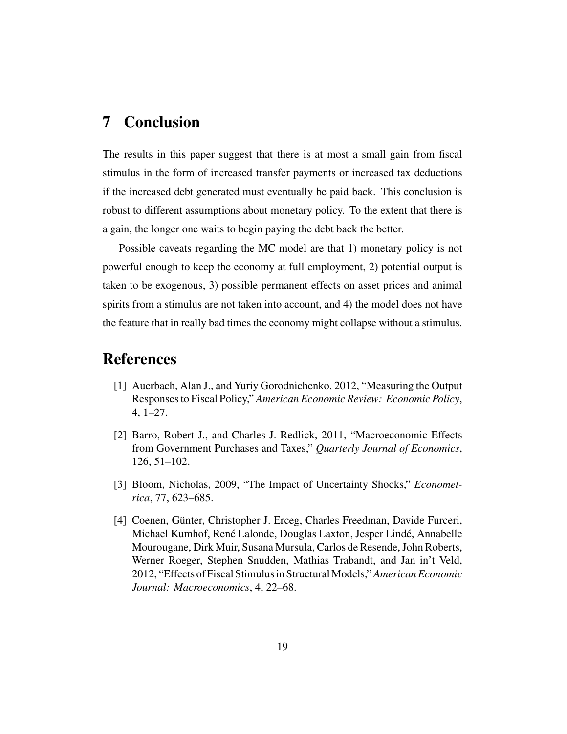# 7 Conclusion

The results in this paper suggest that there is at most a small gain from fiscal stimulus in the form of increased transfer payments or increased tax deductions if the increased debt generated must eventually be paid back. This conclusion is robust to different assumptions about monetary policy. To the extent that there is a gain, the longer one waits to begin paying the debt back the better.

Possible caveats regarding the MC model are that 1) monetary policy is not powerful enough to keep the economy at full employment, 2) potential output is taken to be exogenous, 3) possible permanent effects on asset prices and animal spirits from a stimulus are not taken into account, and 4) the model does not have the feature that in really bad times the economy might collapse without a stimulus.

#### References

- [1] Auerbach, Alan J., and Yuriy Gorodnichenko, 2012, "Measuring the Output Responses to Fiscal Policy," *American Economic Review: Economic Policy*, 4, 1–27.
- [2] Barro, Robert J., and Charles J. Redlick, 2011, "Macroeconomic Effects from Government Purchases and Taxes," *Quarterly Journal of Economics*, 126, 51–102.
- [3] Bloom, Nicholas, 2009, "The Impact of Uncertainty Shocks," *Econometrica*, 77, 623–685.
- [4] Coenen, Günter, Christopher J. Erceg, Charles Freedman, Davide Furceri, Michael Kumhof, René Lalonde, Douglas Laxton, Jesper Lindé, Annabelle Mourougane, Dirk Muir, Susana Mursula, Carlos de Resende, John Roberts, Werner Roeger, Stephen Snudden, Mathias Trabandt, and Jan in't Veld, 2012, "Effects of Fiscal Stimulus in StructuralModels," *American Economic Journal: Macroeconomics*, 4, 22–68.